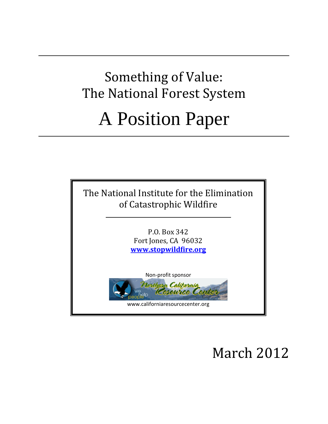# Something of Value: The National Forest System A Position Paper



March 2012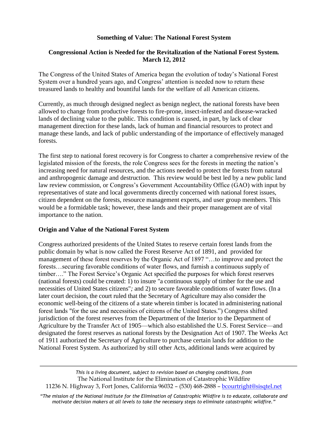## **Something of Value: The National Forest System**

## **Congressional Action is Needed for the Revitalization of the National Forest System. March 12, 2012**

The Congress of the United States of America began the evolution of today's National Forest System over a hundred years ago, and Congress' attention is needed now to return these treasured lands to healthy and bountiful lands for the welfare of all American citizens.

Currently, as much through designed neglect as benign neglect, the national forests have been allowed to change from productive forests to fire-prone, insect-infested and disease-wracked lands of declining value to the public. This condition is caused, in part, by lack of clear management direction for these lands, lack of human and financial resources to protect and manage these lands, and lack of public understanding of the importance of effectively managed forests.

The first step to national forest recovery is for Congress to charter a comprehensive review of the legislated mission of the forests, the role Congress sees for the forests in meeting the nation's increasing need for natural resources, and the actions needed to protect the forests from natural and anthropogenic damage and destruction. This review would be best led by a new public land law review commission, or Congress's Government Accountability Office (GAO) with input by representatives of state and local governments directly concerned with national forest issues, citizen dependent on the forests, resource management experts, and user group members. This would be a formidable task; however, these lands and their proper management are of vital importance to the nation.

## **Origin and Value of the National Forest System**

Congress authorized presidents of the United States to reserve certain forest lands from the public domain by what is now called the Forest Reserve Act of 1891, and provided for management of these forest reserves by the Organic Act of 1897 "…to improve and protect the forests…securing favorable conditions of water flows, and furnish a continuous supply of timber…." The Forest Service's Organic Act specified the purposes for which forest reserves (national forests) could be created: 1) to insure "a continuous supply of timber for the use and necessities of United States citizens"*;* and 2) to secure favorable conditions of water flows. (In a later court decision, the court ruled that the Secretary of Agriculture may also consider the economic well-being of the citizens of a state wherein timber is located in administering national forest lands "for the use and necessities of citizens of the United States.") Congress shifted jurisdiction of the forest reserves from the Department of the Interior to the Department of Agriculture by the Transfer Act of 1905—which also established the U.S. Forest Service—and designated the forest reserves as national forests by the Designation Act of 1907. The Weeks Act of 1911 authorized the Secretary of Agriculture to purchase certain lands for addition to the National Forest System. As authorized by still other Acts, additional lands were acquired by

*This is a living document, subject to revision based on changing conditions, from* The National Institute for the Elimination of Catastrophic Wildfire 11236 N. Highway 3, Fort Jones, California 96032 – (530) 468-2888 – bcourtright@sisqtel.net

*"The mission of the National Institute for the Elimination of Catastrophic Wildfire is to educate, collaborate and motivate decision makers at all levels to take the necessary steps to eliminate catastrophic wildfire."*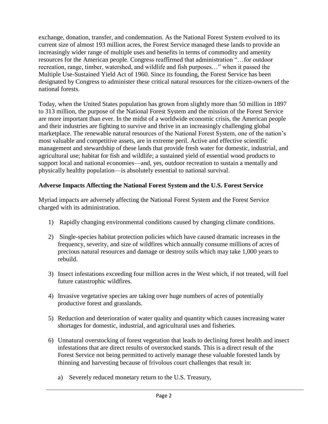exchange, donation, transfer, and condemnation. As the National Forest System evolved to its current size of almost 193 million acres, the Forest Service managed these lands to provide an increasingly wider range of multiple uses and benefits in terms of commodity and amenity resources for the American people. Congress reaffirmed that administration "…for outdoor recreation, range, timber, watershed, and wildlife and fish purposes…" when it passed the Multiple Use-Sustained Yield Act of 1960. Since its founding, the Forest Service has been designated by Congress to administer these critical natural resources for the citizen-owners of the national forests.

Today, when the United States population has grown from slightly more than 50 million in 1897 to 313 million, the purpose of the National Forest System and the mission of the Forest Service are more important than ever. In the midst of a worldwide economic crisis, the American people and their industries are fighting to survive and thrive in an increasingly challenging global marketplace. The renewable natural resources of the National Forest System, one of the nation's most valuable and competitive assets, are in extreme peril. Active and effective scientific management and stewardship of these lands that provide fresh water for domestic, industrial, and agricultural use; habitat for fish and wildlife; a sustained yield of essential wood products to support local and national economies—and, yes, outdoor recreation to sustain a mentally and physically healthy population—is absolutely essential to national survival.

# **Adverse Impacts Affecting the National Forest System and the U.S. Forest Service**

Myriad impacts are adversely affecting the National Forest System and the Forest Service charged with its administration.

- 1) Rapidly changing environmental conditions caused by changing climate conditions.
- 2) Single-species habitat protection policies which have caused dramatic increases in the frequency, severity, and size of wildfires which annually consume millions of acres of precious natural resources and damage or destroy soils which may take 1,000 years to rebuild.
- 3) Insect infestations exceeding four million acres in the West which, if not treated, will fuel future catastrophic wildfires.
- 4) Invasive vegetative species are taking over huge numbers of acres of potentially productive forest and grasslands.
- 5) Reduction and deterioration of water quality and quantity which causes increasing water shortages for domestic, industrial, and agricultural uses and fisheries.
- 6) Unnatural overstocking of forest vegetation that leads to declining forest health and insect infestations that are direct results of overstocked stands. This is a direct result of the Forest Service not being permitted to actively manage these valuable forested lands by thinning and harvesting because of frivolous court challenges that result in:
	- a) Severely reduced monetary return to the U.S. Treasury,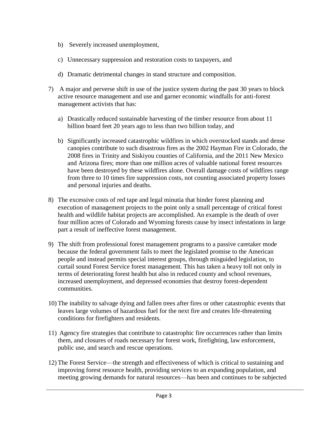- b) Severely increased unemployment,
- c) Unnecessary suppression and restoration costs to taxpayers, and
- d) Dramatic detrimental changes in stand structure and composition.
- 7) A major and perverse shift in use of the justice system during the past 30 years to block active resource management and use and garner economic windfalls for anti-forest management activists that has:
	- a) Drastically reduced sustainable harvesting of the timber resource from about 11 billion board feet 20 years ago to less than two billion today, and
	- b) Significantly increased catastrophic wildfires in which overstocked stands and dense canopies contribute to such disastrous fires as the 2002 Hayman Fire in Colorado, the 2008 fires in Trinity and Siskiyou counties of California, and the 2011 New Mexico and Arizona fires; more than one million acres of valuable national forest resources have been destroyed by these wildfires alone. Overall damage costs of wildfires range from three to 10 times fire suppression costs, not counting associated property losses and personal injuries and deaths.
- 8) The excessive costs of red tape and legal minutia that hinder forest planning and execution of management projects to the point only a small percentage of critical forest health and wildlife habitat projects are accomplished. An example is the death of over four million acres of Colorado and Wyoming forests cause by insect infestations in large part a result of ineffective forest management.
- 9) The shift from professional forest management programs to a passive caretaker mode because the federal government fails to meet the legislated promise to the American people and instead permits special interest groups, through misguided legislation, to curtail sound Forest Service forest management. This has taken a heavy toll not only in terms of deteriorating forest health but also in reduced county and school revenues, increased unemployment, and depressed economies that destroy forest-dependent communities.
- 10) The inability to salvage dying and fallen trees after fires or other catastrophic events that leaves large volumes of hazardous fuel for the next fire and creates life-threatening conditions for firefighters and residents.
- 11) Agency fire strategies that contribute to catastrophic fire occurrences rather than limits them, and closures of roads necessary for forest work, firefighting, law enforcement, public use, and search and rescue operations.
- 12) The Forest Service—the strength and effectiveness of which is critical to sustaining and improving forest resource health, providing services to an expanding population, and meeting growing demands for natural resources—has been and continues to be subjected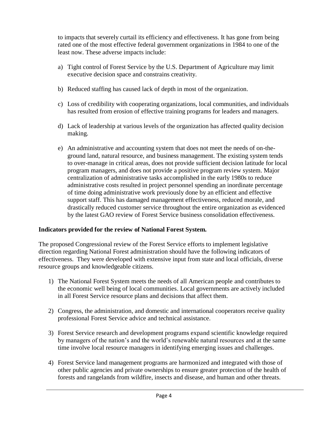to impacts that severely curtail its efficiency and effectiveness. It has gone from being rated one of the most effective federal government organizations in 1984 to one of the least now. These adverse impacts include:

- a) Tight control of Forest Service by the U.S. Department of Agriculture may limit executive decision space and constrains creativity.
- b) Reduced staffing has caused lack of depth in most of the organization.
- c) Loss of credibility with cooperating organizations, local communities, and individuals has resulted from erosion of effective training programs for leaders and managers.
- d) Lack of leadership at various levels of the organization has affected quality decision making.
- e) An administrative and accounting system that does not meet the needs of on-theground land, natural resource, and business management. The existing system tends to over-manage in critical areas, does not provide sufficient decision latitude for local program managers, and does not provide a positive program review system. Major centralization of administrative tasks accomplished in the early 1980s to reduce administrative costs resulted in project personnel spending an inordinate percentage of time doing administrative work previously done by an efficient and effective support staff. This has damaged management effectiveness, reduced morale, and drastically reduced customer service throughout the entire organization as evidenced by the latest GAO review of Forest Service business consolidation effectiveness.

## **Indicators provided for the review of National Forest System.**

The proposed Congressional review of the Forest Service efforts to implement legislative direction regarding National Forest administration should have the following indicators of effectiveness. They were developed with extensive input from state and local officials, diverse resource groups and knowledgeable citizens.

- 1) The National Forest System meets the needs of all American people and contributes to the economic well being of local communities. Local governments are actively included in all Forest Service resource plans and decisions that affect them.
- 2) Congress, the administration, and domestic and international cooperators receive quality professional Forest Service advice and technical assistance.
- 3) Forest Service research and development programs expand scientific knowledge required by managers of the nation's and the world's renewable natural resources and at the same time involve local resource managers in identifying emerging issues and challenges.
- 4) Forest Service land management programs are harmonized and integrated with those of other public agencies and private ownerships to ensure greater protection of the health of forests and rangelands from wildfire, insects and disease, and human and other threats.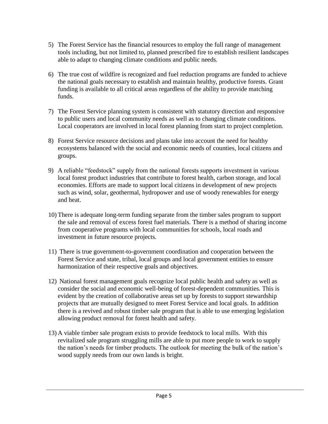- 5) The Forest Service has the financial resources to employ the full range of management tools including, but not limited to, planned prescribed fire to establish resilient landscapes able to adapt to changing climate conditions and public needs.
- 6) The true cost of wildfire is recognized and fuel reduction programs are funded to achieve the national goals necessary to establish and maintain healthy, productive forests. Grant funding is available to all critical areas regardless of the ability to provide matching funds.
- 7) The Forest Service planning system is consistent with statutory direction and responsive to public users and local community needs as well as to changing climate conditions. Local cooperators are involved in local forest planning from start to project completion.
- 8) Forest Service resource decisions and plans take into account the need for healthy ecosystems balanced with the social and economic needs of counties, local citizens and groups.
- 9) A reliable "feedstock" supply from the national forests supports investment in various local forest product industries that contribute to forest health, carbon storage, and local economies. Efforts are made to support local citizens in development of new projects such as wind, solar, geothermal, hydropower and use of woody renewables for energy and heat.
- 10) There is adequate long-term funding separate from the timber sales program to support the sale and removal of excess forest fuel materials. There is a method of sharing income from cooperative programs with local communities for schools, local roads and investment in future resource projects.
- 11) There is true government-to-government coordination and cooperation between the Forest Service and state, tribal, local groups and local government entities to ensure harmonization of their respective goals and objectives.
- 12) National forest management goals recognize local public health and safety as well as consider the social and economic well-being of forest-dependent communities. This is evident by the creation of collaborative areas set up by forests to support stewardship projects that are mutually designed to meet Forest Service and local goals. In addition there is a revived and robust timber sale program that is able to use emerging legislation allowing product removal for forest health and safety.
- 13) A viable timber sale program exists to provide feedstock to local mills. With this revitalized sale program struggling mills are able to put more people to work to supply the nation's needs for timber products. The outlook for meeting the bulk of the nation's wood supply needs from our own lands is bright.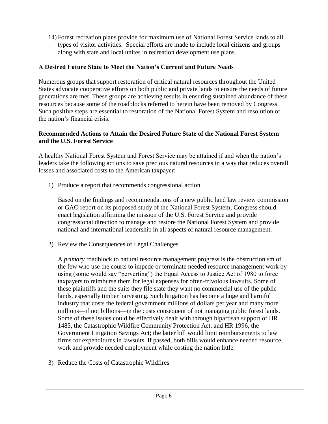14) Forest recreation plans provide for maximum use of National Forest Service lands to all types of visitor activities. Special efforts are made to include local citizens and groups along with state and local unites in recreation development use plans.

## **A Desired Future State to Meet the Nation's Current and Future Needs**

Numerous groups that support restoration of critical natural resources throughout the United States advocate cooperative efforts on both public and private lands to ensure the needs of future generations are met. These groups are achieving results in ensuring sustained abundance of these resources because some of the roadblocks referred to herein have been removed by Congress. Such positive steps are essential to restoration of the National Forest System and resolution of the nation's financial crisis.

## **Recommended Actions to Attain the Desired Future State of the National Forest System and the U.S. Forest Service**

A healthy National Forest System and Forest Service may be attained if and when the nation's leaders take the following actions to save precious natural resources in a way that reduces overall losses and associated costs to the American taxpayer:

1) Produce a report that recommends congressional action

Based on the findings and recommendations of a new public land law review commission or GAO report on its proposed study of the National Forest System, Congress should enact legislation affirming the mission of the U.S. Forest Service and provide congressional direction to manage and restore the National Forest System and provide national and international leadership in all aspects of natural resource management.

2) Review the Consequences of Legal Challenges

A *primary* roadblock to natural resource management progress is the obstructionism of the few who use the courts to impede or terminate needed resource management work by using (some would say "perverting") the Equal Access to Justice Act of 1980 to force taxpayers to reimburse them for legal expenses for often-frivolous lawsuits. Some of these plaintiffs and the suits they file state they want no commercial use of the public lands, especially timber harvesting. Such litigation has become a huge and harmful industry that costs the federal government millions of dollars per year and many more millions—if not billions—in the costs consequent of not managing public forest lands. Some of these issues could be effectively dealt with through bipartisan support of HR 1485, the Catastrophic Wildfire Community Protection Act, and HR 1996, the Government Litigation Savings Act; the latter bill would limit reimbursements to law firms for expenditures in lawsuits. If passed, both bills would enhance needed resource work and provide needed employment while costing the nation little.

3) Reduce the Costs of Catastrophic Wildfires